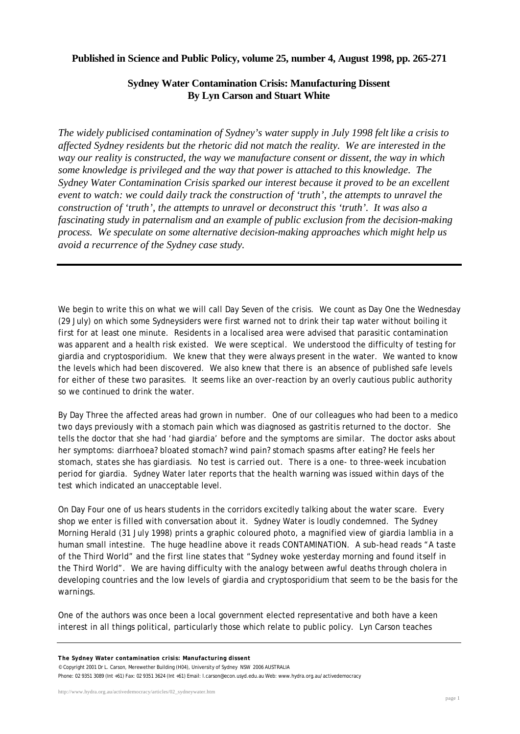#### **Published in Science and Public Policy, volume 25, number 4, August 1998, pp. 265-271**

# **Sydney Water Contamination Crisis: Manufacturing Dissent By Lyn Carson and Stuart White**

*The widely publicised contamination of Sydney's water supply in July 1998 felt like a crisis to affected Sydney residents but the rhetoric did not match the reality. We are interested in the way our reality is constructed, the way we manufacture consent or dissent, the way in which some knowledge is privileged and the way that power is attached to this knowledge. The Sydney Water Contamination Crisis sparked our interest because it proved to be an excellent event to watch: we could daily track the construction of 'truth', the attempts to unravel the construction of 'truth', the attempts to unravel or deconstruct this 'truth'. It was also a fascinating study in paternalism and an example of public exclusion from the decision-making process. We speculate on some alternative decision-making approaches which might help us avoid a recurrence of the Sydney case study.*

We begin to write this on what we will call Day Seven of the crisis. We count as Day One the Wednesday (29 July) on which some Sydneysiders were first warned not to drink their tap water without boiling it first for at least one minute. Residents in a localised area were advised that parasitic contamination was apparent and a health risk existed. We were sceptical. We understood the difficulty of testing for giardia and cryptosporidium. We knew that they were always present in the water. We wanted to know the levels which had been discovered. We also knew that there is an absence of published safe levels for either of these two parasites. It seems like an over-reaction by an overly cautious public authority so we continued to drink the water.

By Day Three the affected areas had grown in number. One of our colleagues who had been to a medico two days previously with a stomach pain which was diagnosed as gastritis returned to the doctor. She tells the doctor that she had 'had giardia' before and the symptoms are similar. The doctor asks about her symptoms: diarrhoea? bloated stomach? wind pain? stomach spasms after eating? He feels her stomach, states she has giardiasis. No test is carried out. There is a one- to three-week incubation period for giardia. Sydney Water later reports that the health warning was issued within days of the test which indicated an unacceptable level.

On Day Four one of us hears students in the corridors excitedly talking about the water scare. Every shop we enter is filled with conversation about it. Sydney Water is loudly condemned. The Sydney Morning Herald (31 July 1998) prints a graphic coloured photo, a magnified view of giardia lamblia in a human small intestine. The huge headline above it reads CONTAMINATION. A sub-head reads "A taste of the Third World" and the first line states that "Sydney woke yesterday morning and found itself in the Third World". We are having difficulty with the analogy between awful deaths through cholera in developing countries and the low levels of giardia and cryptosporidium that seem to be the basis for the warnings.

One of the authors was once been a local government elected representative and both have a keen interest in all things political, particularly those which relate to public policy. Lyn Carson teaches

**The Sydney Water contamination crisis: Manufacturing dissent**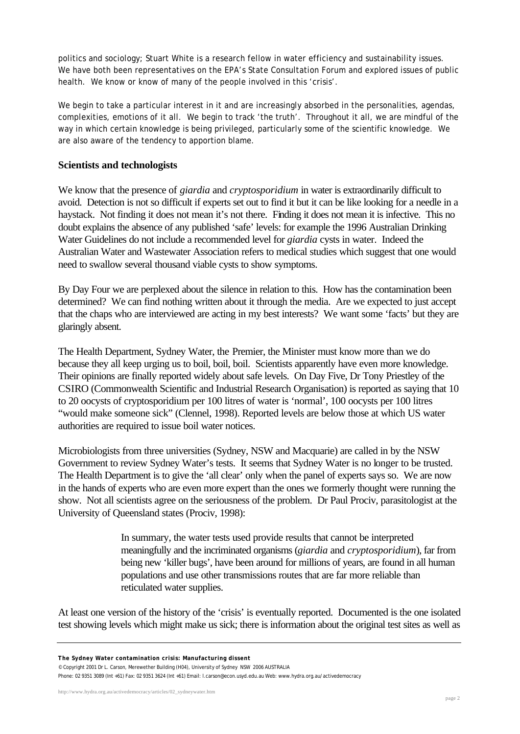politics and sociology; Stuart White is a research fellow in water efficiency and sustainability issues. We have both been representatives on the EPA's State Consultation Forum and explored issues of public health. We know or know of many of the people involved in this 'crisis'.

We begin to take a particular interest in it and are increasingly absorbed in the personalities, agendas, complexities, emotions of it all. We begin to track 'the truth'. Throughout it all, we are mindful of the way in which certain knowledge is being privileged, particularly some of the scientific knowledge. We are also aware of the tendency to apportion blame.

#### **Scientists and technologists**

We know that the presence of *giardia* and *cryptosporidium* in water is extraordinarily difficult to avoid. Detection is not so difficult if experts set out to find it but it can be like looking for a needle in a haystack. Not finding it does not mean it's not there. Finding it does not mean it is infective. This no doubt explains the absence of any published 'safe' levels: for example the 1996 Australian Drinking Water Guidelines do not include a recommended level for *giardia* cysts in water. Indeed the Australian Water and Wastewater Association refers to medical studies which suggest that one would need to swallow several thousand viable cysts to show symptoms.

By Day Four we are perplexed about the silence in relation to this. How has the contamination been determined? We can find nothing written about it through the media. Are we expected to just accept that the chaps who are interviewed are acting in my best interests? We want some 'facts' but they are glaringly absent.

The Health Department, Sydney Water, the Premier, the Minister must know more than we do because they all keep urging us to boil, boil, boil. Scientists apparently have even more knowledge. Their opinions are finally reported widely about safe levels. On Day Five, Dr Tony Priestley of the CSIRO (Commonwealth Scientific and Industrial Research Organisation) is reported as saying that 10 to 20 oocysts of cryptosporidium per 100 litres of water is 'normal', 100 oocysts per 100 litres "would make someone sick" (Clennel, 1998). Reported levels are below those at which US water authorities are required to issue boil water notices.

Microbiologists from three universities (Sydney, NSW and Macquarie) are called in by the NSW Government to review Sydney Water's tests. It seems that Sydney Water is no longer to be trusted. The Health Department is to give the 'all clear' only when the panel of experts says so. We are now in the hands of experts who are even more expert than the ones we formerly thought were running the show. Not all scientists agree on the seriousness of the problem. Dr Paul Prociv, parasitologist at the University of Queensland states (Prociv, 1998):

> In summary, the water tests used provide results that cannot be interpreted meaningfully and the incriminated organisms (*giardia* and *cryptosporidium*), far from being new 'killer bugs', have been around for millions of years, are found in all human populations and use other transmissions routes that are far more reliable than reticulated water supplies.

At least one version of the history of the 'crisis' is eventually reported. Documented is the one isolated test showing levels which might make us sick; there is information about the original test sites as well as

© Copyright 2001 Dr L. Carson, Merewether Building (H04), University of Sydney NSW 2006 AUSTRALIA

**The Sydney Water contamination crisis: Manufacturing dissent**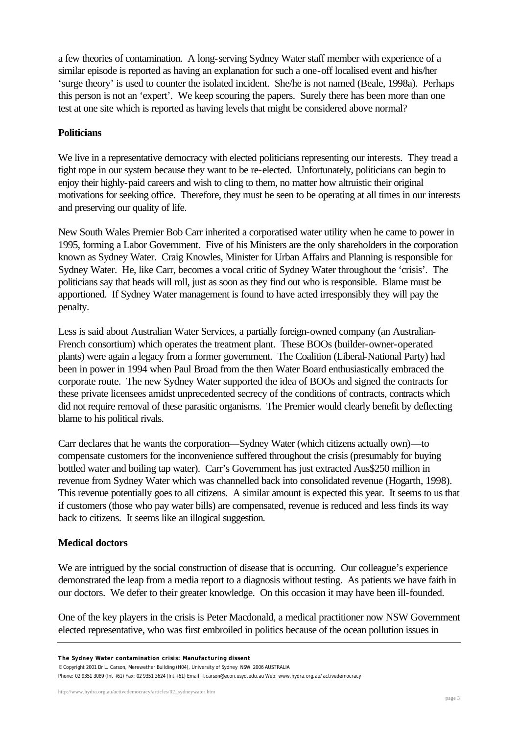a few theories of contamination. A long-serving Sydney Water staff member with experience of a similar episode is reported as having an explanation for such a one-off localised event and his/her 'surge theory' is used to counter the isolated incident. She/he is not named (Beale, 1998a). Perhaps this person is not an 'expert'. We keep scouring the papers. Surely there has been more than one test at one site which is reported as having levels that might be considered above normal?

## **Politicians**

We live in a representative democracy with elected politicians representing our interests. They tread a tight rope in our system because they want to be re-elected. Unfortunately, politicians can begin to enjoy their highly-paid careers and wish to cling to them, no matter how altruistic their original motivations for seeking office. Therefore, they must be seen to be operating at all times in our interests and preserving our quality of life.

New South Wales Premier Bob Carr inherited a corporatised water utility when he came to power in 1995, forming a Labor Government. Five of his Ministers are the only shareholders in the corporation known as Sydney Water. Craig Knowles, Minister for Urban Affairs and Planning is responsible for Sydney Water. He, like Carr, becomes a vocal critic of Sydney Water throughout the 'crisis'. The politicians say that heads will roll, just as soon as they find out who is responsible. Blame must be apportioned. If Sydney Water management is found to have acted irresponsibly they will pay the penalty.

Less is said about Australian Water Services, a partially foreign-owned company (an Australian-French consortium) which operates the treatment plant. These BOOs (builder-owner-operated plants) were again a legacy from a former government. The Coalition (Liberal-National Party) had been in power in 1994 when Paul Broad from the then Water Board enthusiastically embraced the corporate route. The new Sydney Water supported the idea of BOOs and signed the contracts for these private licensees amidst unprecedented secrecy of the conditions of contracts, contracts which did not require removal of these parasitic organisms. The Premier would clearly benefit by deflecting blame to his political rivals.

Carr declares that he wants the corporation—Sydney Water (which citizens actually own)—to compensate customers for the inconvenience suffered throughout the crisis (presumably for buying bottled water and boiling tap water). Carr's Government has just extracted Aus\$250 million in revenue from Sydney Water which was channelled back into consolidated revenue (Hogarth, 1998). This revenue potentially goes to all citizens. A similar amount is expected this year. It seems to us that if customers (those who pay water bills) are compensated, revenue is reduced and less finds its way back to citizens. It seems like an illogical suggestion.

### **Medical doctors**

We are intrigued by the social construction of disease that is occurring. Our colleague's experience demonstrated the leap from a media report to a diagnosis without testing. As patients we have faith in our doctors. We defer to their greater knowledge. On this occasion it may have been ill-founded.

One of the key players in the crisis is Peter Macdonald, a medical practitioner now NSW Government elected representative, who was first embroiled in politics because of the ocean pollution issues in

**The Sydney Water contamination crisis: Manufacturing dissent**

© Copyright 2001 Dr L. Carson, Merewether Building (H04), University of Sydney NSW 2006 AUSTRALIA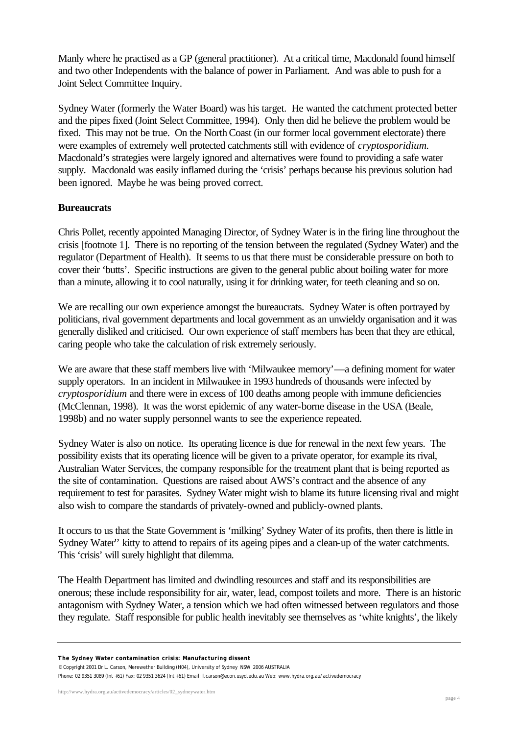Manly where he practised as a GP (general practitioner). At a critical time, Macdonald found himself and two other Independents with the balance of power in Parliament. And was able to push for a Joint Select Committee Inquiry.

Sydney Water (formerly the Water Board) was his target. He wanted the catchment protected better and the pipes fixed (Joint Select Committee, 1994). Only then did he believe the problem would be fixed. This may not be true. On the North Coast (in our former local government electorate) there were examples of extremely well protected catchments still with evidence of *cryptosporidium.* Macdonald's strategies were largely ignored and alternatives were found to providing a safe water supply. Macdonald was easily inflamed during the 'crisis' perhaps because his previous solution had been ignored. Maybe he was being proved correct.

### **Bureaucrats**

Chris Pollet, recently appointed Managing Director, of Sydney Water is in the firing line throughout the crisis [footnote 1]. There is no reporting of the tension between the regulated (Sydney Water) and the regulator (Department of Health). It seems to us that there must be considerable pressure on both to cover their 'butts'. Specific instructions are given to the general public about boiling water for more than a minute, allowing it to cool naturally, using it for drinking water, for teeth cleaning and so on.

We are recalling our own experience amongst the bureaucrats. Sydney Water is often portrayed by politicians, rival government departments and local government as an unwieldy organisation and it was generally disliked and criticised. Our own experience of staff members has been that they are ethical, caring people who take the calculation of risk extremely seriously.

We are aware that these staff members live with 'Milwaukee memory'—a defining moment for water supply operators. In an incident in Milwaukee in 1993 hundreds of thousands were infected by *cryptosporidium* and there were in excess of 100 deaths among people with immune deficiencies (McClennan, 1998). It was the worst epidemic of any water-borne disease in the USA (Beale, 1998b) and no water supply personnel wants to see the experience repeated.

Sydney Water is also on notice. Its operating licence is due for renewal in the next few years. The possibility exists that its operating licence will be given to a private operator, for example its rival, Australian Water Services, the company responsible for the treatment plant that is being reported as the site of contamination. Questions are raised about AWS's contract and the absence of any requirement to test for parasites. Sydney Water might wish to blame its future licensing rival and might also wish to compare the standards of privately-owned and publicly-owned plants.

It occurs to us that the State Government is 'milking' Sydney Water of its profits, then there is little in Sydney Water'' kitty to attend to repairs of its ageing pipes and a clean-up of the water catchments. This 'crisis' will surely highlight that dilemma.

The Health Department has limited and dwindling resources and staff and its responsibilities are onerous; these include responsibility for air, water, lead, compost toilets and more. There is an historic antagonism with Sydney Water, a tension which we had often witnessed between regulators and those they regulate. Staff responsible for public health inevitably see themselves as 'white knights', the likely

© Copyright 2001 Dr L. Carson, Merewether Building (H04), University of Sydney NSW 2006 AUSTRALIA

**The Sydney Water contamination crisis: Manufacturing dissent**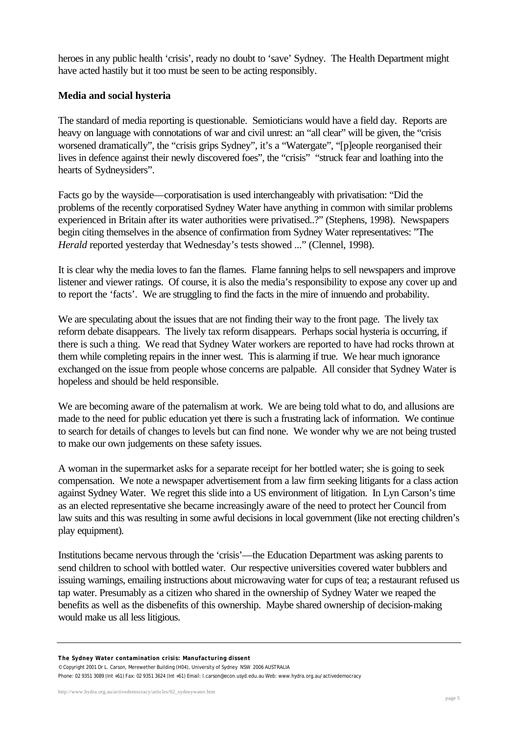heroes in any public health 'crisis', ready no doubt to 'save' Sydney. The Health Department might have acted hastily but it too must be seen to be acting responsibly.

## **Media and social hysteria**

The standard of media reporting is questionable. Semioticians would have a field day. Reports are heavy on language with connotations of war and civil unrest: an "all clear" will be given, the "crisis worsened dramatically", the "crisis grips Sydney", it's a "Watergate", "[p]eople reorganised their lives in defence against their newly discovered foes", the "crisis" "struck fear and loathing into the hearts of Sydneysiders".

Facts go by the wayside—corporatisation is used interchangeably with privatisation: "Did the problems of the recently corporatised Sydney Water have anything in common with similar problems experienced in Britain after its water authorities were privatised..?" (Stephens, 1998). Newspapers begin citing themselves in the absence of confirmation from Sydney Water representatives: "The *Herald* reported yesterday that Wednesday's tests showed ..." (Clennel, 1998).

It is clear why the media loves to fan the flames. Flame fanning helps to sell newspapers and improve listener and viewer ratings. Of course, it is also the media's responsibility to expose any cover up and to report the 'facts'. We are struggling to find the facts in the mire of innuendo and probability.

We are speculating about the issues that are not finding their way to the front page. The lively tax reform debate disappears. The lively tax reform disappears. Perhaps social hysteria is occurring, if there is such a thing. We read that Sydney Water workers are reported to have had rocks thrown at them while completing repairs in the inner west. This is alarming if true. We hear much ignorance exchanged on the issue from people whose concerns are palpable. All consider that Sydney Water is hopeless and should be held responsible.

We are becoming aware of the paternalism at work. We are being told what to do, and allusions are made to the need for public education yet there is such a frustrating lack of information. We continue to search for details of changes to levels but can find none. We wonder why we are not being trusted to make our own judgements on these safety issues.

A woman in the supermarket asks for a separate receipt for her bottled water; she is going to seek compensation. We note a newspaper advertisement from a law firm seeking litigants for a class action against Sydney Water. We regret this slide into a US environment of litigation. In Lyn Carson's time as an elected representative she became increasingly aware of the need to protect her Council from law suits and this was resulting in some awful decisions in local government (like not erecting children's play equipment).

Institutions became nervous through the 'crisis'—the Education Department was asking parents to send children to school with bottled water. Our respective universities covered water bubblers and issuing warnings, emailing instructions about microwaving water for cups of tea; a restaurant refused us tap water. Presumably as a citizen who shared in the ownership of Sydney Water we reaped the benefits as well as the disbenefits of this ownership. Maybe shared ownership of decision-making would make us all less litigious.

**The Sydney Water contamination crisis: Manufacturing dissent**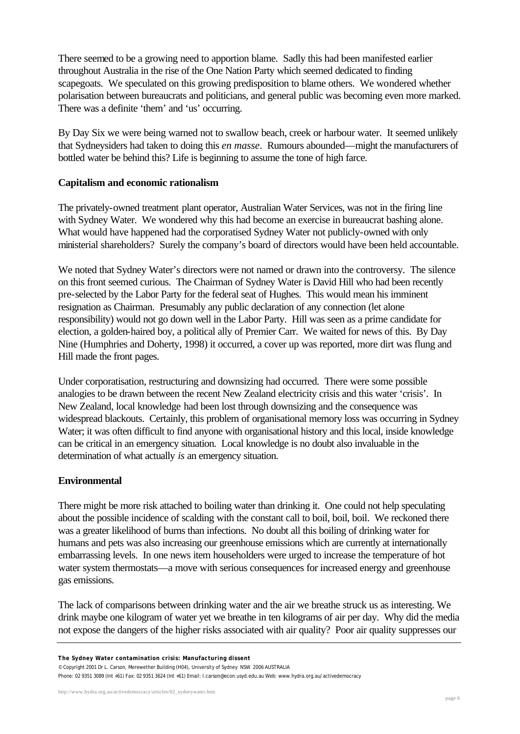There seemed to be a growing need to apportion blame. Sadly this had been manifested earlier throughout Australia in the rise of the One Nation Party which seemed dedicated to finding scapegoats. We speculated on this growing predisposition to blame others. We wondered whether polarisation between bureaucrats and politicians, and general public was becoming even more marked. There was a definite 'them' and 'us' occurring.

By Day Six we were being warned not to swallow beach, creek or harbour water. It seemed unlikely that Sydneysiders had taken to doing this *en masse*. Rumours abounded—might the manufacturers of bottled water be behind this? Life is beginning to assume the tone of high farce.

#### **Capitalism and economic rationalism**

The privately-owned treatment plant operator, Australian Water Services, was not in the firing line with Sydney Water. We wondered why this had become an exercise in bureaucrat bashing alone. What would have happened had the corporatised Sydney Water not publicly-owned with only ministerial shareholders? Surely the company's board of directors would have been held accountable.

We noted that Sydney Water's directors were not named or drawn into the controversy. The silence on this front seemed curious. The Chairman of Sydney Water is David Hill who had been recently pre-selected by the Labor Party for the federal seat of Hughes. This would mean his imminent resignation as Chairman. Presumably any public declaration of any connection (let alone responsibility) would not go down well in the Labor Party. Hill was seen as a prime candidate for election, a golden-haired boy, a political ally of Premier Carr. We waited for news of this. By Day Nine (Humphries and Doherty, 1998) it occurred, a cover up was reported, more dirt was flung and Hill made the front pages.

Under corporatisation, restructuring and downsizing had occurred. There were some possible analogies to be drawn between the recent New Zealand electricity crisis and this water 'crisis'. In New Zealand, local knowledge had been lost through downsizing and the consequence was widespread blackouts. Certainly, this problem of organisational memory loss was occurring in Sydney Water; it was often difficult to find anyone with organisational history and this local, inside knowledge can be critical in an emergency situation. Local knowledge is no doubt also invaluable in the determination of what actually *is* an emergency situation.

### **Environmental**

There might be more risk attached to boiling water than drinking it. One could not help speculating about the possible incidence of scalding with the constant call to boil, boil, boil. We reckoned there was a greater likelihood of burns than infections. No doubt all this boiling of drinking water for humans and pets was also increasing our greenhouse emissions which are currently at internationally embarrassing levels. In one news item householders were urged to increase the temperature of hot water system thermostats—a move with serious consequences for increased energy and greenhouse gas emissions.

The lack of comparisons between drinking water and the air we breathe struck us as interesting. We drink maybe one kilogram of water yet we breathe in ten kilograms of air per day. Why did the media not expose the dangers of the higher risks associated with air quality? Poor air quality suppresses our

© Copyright 2001 Dr L. Carson, Merewether Building (H04), University of Sydney NSW 2006 AUSTRALIA

**The Sydney Water contamination crisis: Manufacturing dissent**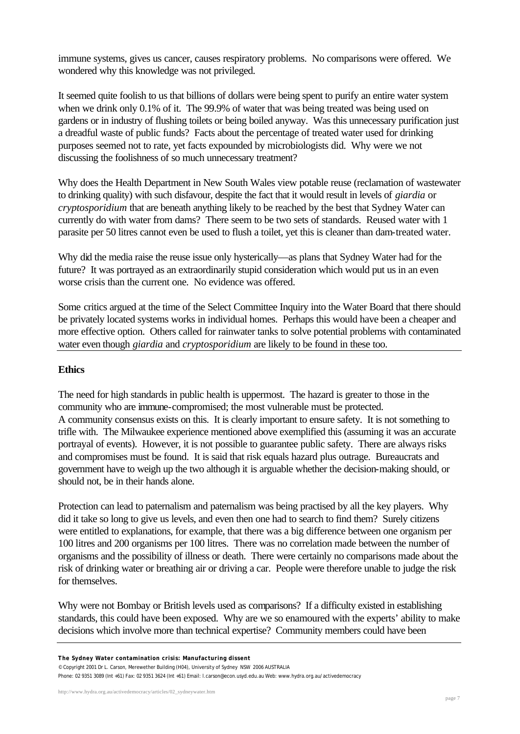immune systems, gives us cancer, causes respiratory problems. No comparisons were offered. We wondered why this knowledge was not privileged.

It seemed quite foolish to us that billions of dollars were being spent to purify an entire water system when we drink only 0.1% of it. The 99.9% of water that was being treated was being used on gardens or in industry of flushing toilets or being boiled anyway. Was this unnecessary purification just a dreadful waste of public funds? Facts about the percentage of treated water used for drinking purposes seemed not to rate, yet facts expounded by microbiologists did. Why were we not discussing the foolishness of so much unnecessary treatment?

Why does the Health Department in New South Wales view potable reuse (reclamation of wastewater to drinking quality) with such disfavour, despite the fact that it would result in levels of *giardia* or *cryptosporidium* that are beneath anything likely to be reached by the best that Sydney Water can currently do with water from dams? There seem to be two sets of standards. Reused water with 1 parasite per 50 litres cannot even be used to flush a toilet, yet this is cleaner than dam-treated water.

Why did the media raise the reuse issue only hysterically—as plans that Sydney Water had for the future? It was portrayed as an extraordinarily stupid consideration which would put us in an even worse crisis than the current one. No evidence was offered.

Some critics argued at the time of the Select Committee Inquiry into the Water Board that there should be privately located systems works in individual homes. Perhaps this would have been a cheaper and more effective option. Others called for rainwater tanks to solve potential problems with contaminated water even though *giardia* and *cryptosporidium* are likely to be found in these too.

## **Ethics**

The need for high standards in public health is uppermost. The hazard is greater to those in the community who are immune-compromised; the most vulnerable must be protected. A community consensus exists on this. It is clearly important to ensure safety. It is not something to trifle with. The Milwaukee experience mentioned above exemplified this (assuming it was an accurate portrayal of events). However, it is not possible to guarantee public safety. There are always risks and compromises must be found. It is said that risk equals hazard plus outrage. Bureaucrats and government have to weigh up the two although it is arguable whether the decision-making should, or should not, be in their hands alone.

Protection can lead to paternalism and paternalism was being practised by all the key players. Why did it take so long to give us levels, and even then one had to search to find them? Surely citizens were entitled to explanations, for example, that there was a big difference between one organism per 100 litres and 200 organisms per 100 litres. There was no correlation made between the number of organisms and the possibility of illness or death. There were certainly no comparisons made about the risk of drinking water or breathing air or driving a car. People were therefore unable to judge the risk for themselves.

Why were not Bombay or British levels used as comparisons? If a difficulty existed in establishing standards, this could have been exposed. Why are we so enamoured with the experts' ability to make decisions which involve more than technical expertise? Community members could have been

**The Sydney Water contamination crisis: Manufacturing dissent**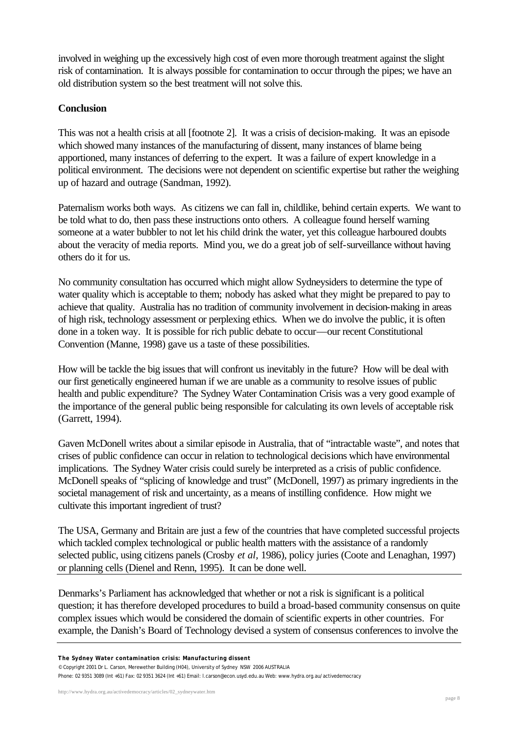involved in weighing up the excessively high cost of even more thorough treatment against the slight risk of contamination. It is always possible for contamination to occur through the pipes; we have an old distribution system so the best treatment will not solve this.

# **Conclusion**

This was not a health crisis at all [footnote 2]. It was a crisis of decision-making. It was an episode which showed many instances of the manufacturing of dissent, many instances of blame being apportioned, many instances of deferring to the expert. It was a failure of expert knowledge in a political environment. The decisions were not dependent on scientific expertise but rather the weighing up of hazard and outrage (Sandman, 1992).

Paternalism works both ways. As citizens we can fall in, childlike, behind certain experts. We want to be told what to do, then pass these instructions onto others. A colleague found herself warning someone at a water bubbler to not let his child drink the water, yet this colleague harboured doubts about the veracity of media reports. Mind you, we do a great job of self-surveillance without having others do it for us.

No community consultation has occurred which might allow Sydneysiders to determine the type of water quality which is acceptable to them; nobody has asked what they might be prepared to pay to achieve that quality. Australia has no tradition of community involvement in decision-making in areas of high risk, technology assessment or perplexing ethics. When we do involve the public, it is often done in a token way. It is possible for rich public debate to occur—our recent Constitutional Convention (Manne, 1998) gave us a taste of these possibilities.

How will be tackle the big issues that will confront us inevitably in the future? How will be deal with our first genetically engineered human if we are unable as a community to resolve issues of public health and public expenditure? The Sydney Water Contamination Crisis was a very good example of the importance of the general public being responsible for calculating its own levels of acceptable risk (Garrett, 1994).

Gaven McDonell writes about a similar episode in Australia, that of "intractable waste", and notes that crises of public confidence can occur in relation to technological decisions which have environmental implications. The Sydney Water crisis could surely be interpreted as a crisis of public confidence. McDonell speaks of "splicing of knowledge and trust" (McDonell, 1997) as primary ingredients in the societal management of risk and uncertainty, as a means of instilling confidence. How might we cultivate this important ingredient of trust?

The USA, Germany and Britain are just a few of the countries that have completed successful projects which tackled complex technological or public health matters with the assistance of a randomly selected public, using citizens panels (Crosby *et al,* 1986), policy juries (Coote and Lenaghan, 1997) or planning cells (Dienel and Renn, 1995). It can be done well.

Denmarks's Parliament has acknowledged that whether or not a risk is significant is a political question; it has therefore developed procedures to build a broad-based community consensus on quite complex issues which would be considered the domain of scientific experts in other countries. For example, the Danish's Board of Technology devised a system of consensus conferences to involve the

**The Sydney Water contamination crisis: Manufacturing dissent**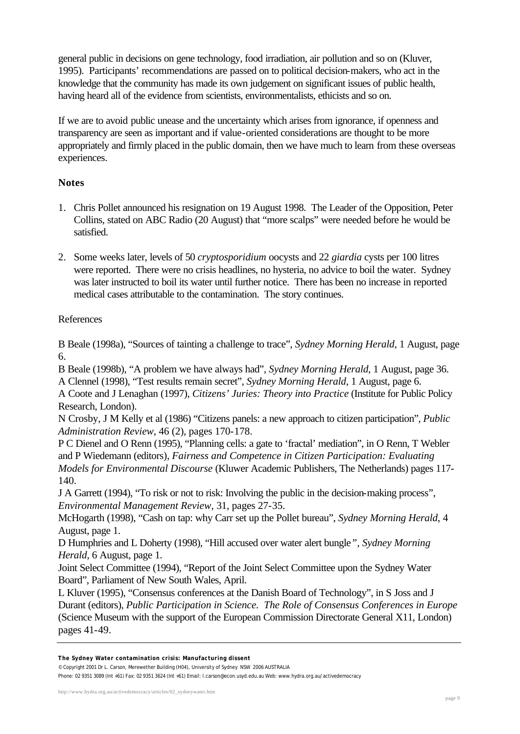general public in decisions on gene technology, food irradiation, air pollution and so on (Kluver, 1995). Participants' recommendations are passed on to political decision-makers, who act in the knowledge that the community has made its own judgement on significant issues of public health, having heard all of the evidence from scientists, environmentalists, ethicists and so on.

If we are to avoid public unease and the uncertainty which arises from ignorance, if openness and transparency are seen as important and if value-oriented considerations are thought to be more appropriately and firmly placed in the public domain, then we have much to learn from these overseas experiences.

# **Notes**

- 1. Chris Pollet announced his resignation on 19 August 1998. The Leader of the Opposition, Peter Collins, stated on ABC Radio (20 August) that "more scalps" were needed before he would be satisfied.
- 2. Some weeks later, levels of 50 *cryptosporidium* oocysts and 22 *giardia* cysts per 100 litres were reported. There were no crisis headlines, no hysteria, no advice to boil the water. Sydney was later instructed to boil its water until further notice. There has been no increase in reported medical cases attributable to the contamination. The story continues.

# References

B Beale (1998a), "Sources of tainting a challenge to trace", *Sydney Morning Herald*, 1 August, page 6.

B Beale (1998b), "A problem we have always had", *Sydney Morning Herald*, 1 August, page 36. A Clennel (1998), "Test results remain secret", *Sydney Morning Herald*, 1 August, page 6.

A Coote and J Lenaghan (1997), *Citizens' Juries: Theory into Practice* (Institute for Public Policy Research, London).

N Crosby, J M Kelly et al (1986) "Citizens panels: a new approach to citizen participation", *Public Administration Review*, 46 (2), pages 170-178.

P C Dienel and O Renn (1995), "Planning cells: a gate to 'fractal' mediation", in O Renn, T Webler and P Wiedemann (editors), *Fairness and Competence in Citizen Participation: Evaluating Models for Environmental Discourse* (Kluwer Academic Publishers, The Netherlands) pages 117- 140.

J A Garrett (1994), "To risk or not to risk: Involving the public in the decision-making process", *Environmental Management Review,* 31, pages 27-35.

McHogarth (1998), "Cash on tap: why Carr set up the Pollet bureau", *Sydney Morning Herald*, 4 August, page 1.

D Humphries and L Doherty (1998), "Hill accused over water alert bungle*", Sydney Morning Herald*, 6 August, page 1.

Joint Select Committee (1994), "Report of the Joint Select Committee upon the Sydney Water Board", Parliament of New South Wales, April.

L Kluver (1995), "Consensus conferences at the Danish Board of Technology", in S Joss and J Durant (editors), *Public Participation in Science. The Role of Consensus Conferences in Europe* (Science Museum with the support of the European Commission Directorate General X11, London) pages 41-49.

**The Sydney Water contamination crisis: Manufacturing dissent**